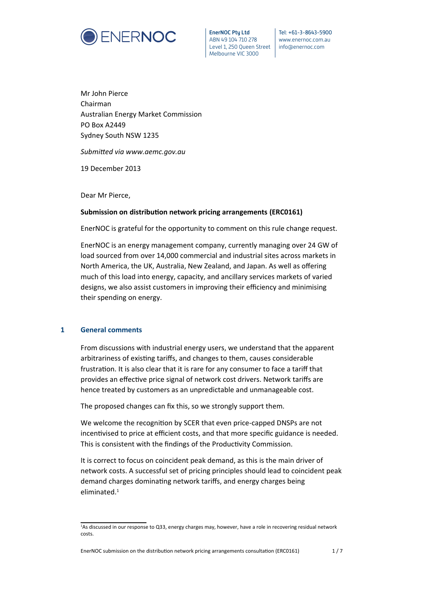

**EnerNOC Pty Ltd** ABN 49 104 710 278 Level 1, 250 Queen Street Melbourne VIC 3000

Tel: +61-3-8643-5900 www.enernoc.com.au  $inf_{\Omega}$  and  $f_{\Omega}$  m

Mr John Pierce Chairman Australian Energy Market Commission PO Box A2449 Sydney South NSW 1235

Submitted via www.aemc.gov.au

19 December 2013

Dear Mr Pierce,

#### **Submission on distribution network pricing arrangements (ERC0161)**

EnerNOC is grateful for the opportunity to comment on this rule change request.

EnerNOC is an energy management company, currently managing over 24 GW of load sourced from over 14,000 commercial and industrial sites across markets in North America, the UK, Australia, New Zealand, and Japan. As well as offering much of this load into energy, capacity, and ancillary services markets of varied designs, we also assist customers in improving their efficiency and minimising their spending on energy.

#### **1 General comments**

From discussions with industrial energy users, we understand that the apparent arbitrariness of existing tariffs, and changes to them, causes considerable frustration. It is also clear that it is rare for any consumer to face a tariff that provides an effective price signal of network cost drivers. Network tariffs are hence treated by customers as an unpredictable and unmanageable cost.

The proposed changes can fix this, so we strongly support them.

We welcome the recognition by SCER that even price-capped DNSPs are not incentivised to price at efficient costs, and that more specific guidance is needed. This is consistent with the findings of the Productivity Commission.

It is correct to focus on coincident peak demand, as this is the main driver of network costs. A successful set of pricing principles should lead to coincident peak demand charges dominating network tariffs, and energy charges being eliminated[.1](#page-0-0)

EnerNOC submission on the distribution network pricing arrangements consultation (ERC0161)  $1/7$ 

<span id="page-0-0"></span><sup>1</sup> As discussed in our response to Q33, energy charges may, however, have a role in recovering residual network costs.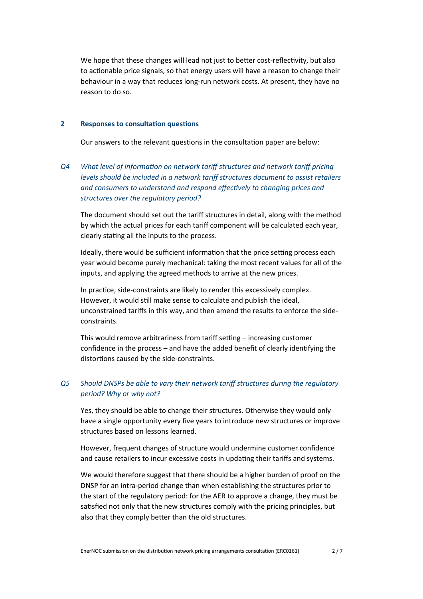We hope that these changes will lead not just to better cost-reflectivity, but also to actionable price signals, so that energy users will have a reason to change their behaviour in a way that reduces long-run network costs. At present, they have no reason to do so.

#### **2 Responses to consultation questions**

Our answers to the relevant questions in the consultation paper are below:

**Q4** *What level of information on network tariff structures and network tariff pricing levels should be included in a network tariff structures document to assist retailers* and consumers to understand and respond effectively to changing prices and *structures over the regulatory period?*

The document should set out the tariff structures in detail, along with the method by which the actual prices for each tariff component will be calculated each year, clearly stating all the inputs to the process.

Ideally, there would be sufficient information that the price setting process each year would become purely mechanical: taking the most recent values for all of the inputs, and applying the agreed methods to arrive at the new prices.

In practice, side-constraints are likely to render this excessively complex. However, it would still make sense to calculate and publish the ideal, unconstrained tariffs in this way, and then amend the results to enforce the sideconstraints.

This would remove arbitrariness from tariff setting  $-$  increasing customer confidence in the process – and have the added benefit of clearly identifying the distortions caused by the side-constraints.

#### **Q5** Should DNSPs be able to vary their network tariff structures during the regulatory *period? Why or why not?*

Yes, they should be able to change their structures. Otherwise they would only have a single opportunity every five years to introduce new structures or improve structures based on lessons learned.

However, frequent changes of structure would undermine customer confidence and cause retailers to incur excessive costs in updating their tariffs and systems.

We would therefore suggest that there should be a higher burden of proof on the DNSP for an intra-period change than when establishing the structures prior to the start of the regulatory period: for the AER to approve a change, they must be satisfied not only that the new structures comply with the pricing principles, but also that they comply better than the old structures.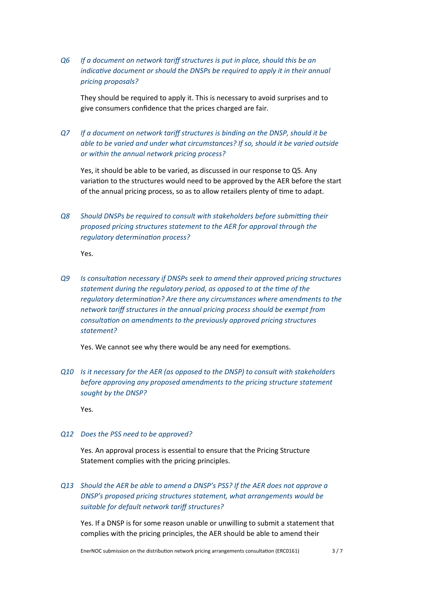$Q6$  *If a document on network tariff structures is put in place, should this be an indicative document or should the DNSPs be required to apply it in their annual pricing proposals?*

They should be required to apply it. This is necessary to avoid surprises and to give consumers confidence that the prices charged are fair.

*Q7* If a document on network tariff structures is binding on the DNSP, should it be *able to be varied and under what circumstances? If so, should it be varied outside or within the annual network pricing process?*

Yes, it should be able to be varied, as discussed in our response to Q5. Any variation to the structures would need to be approved by the AER before the start of the annual pricing process, so as to allow retailers plenty of time to adapt.

**Q8** Should DNSPs be required to consult with stakeholders before submitting their *proposed pricing structures statement to the AER for approval through the regulatory determination process?* 

Yes.

**Q9** *Is consultation necessary if DNSPs seek to amend their approved pricing structures statement during the regulatory period, as opposed to at the time of the* regulatory determination? Are there any circumstances where amendments to the *network tariff structures in the annual pricing process should be exempt from consultation on amendments to the previously approved pricing structures statement?*

Yes. We cannot see why there would be any need for exemptions.

*Q10 Is it necessary for the AER (as opposed to the DNSP) to consult with stakeholders before approving any proposed amendments to the pricing structure statement sought by the DNSP?*

Yes.

#### *Q12 Does the PSS need to be approved?*

Yes. An approval process is essential to ensure that the Pricing Structure Statement complies with the pricing principles.

*Q13 Should the AER be able to amend a DNSP's PSS? If the AER does not approve a DNSP's proposed pricing structures statement, what arrangements would be*  suitable for default network tariff structures?

Yes. If a DNSP is for some reason unable or unwilling to submit a statement that complies with the pricing principles, the AER should be able to amend their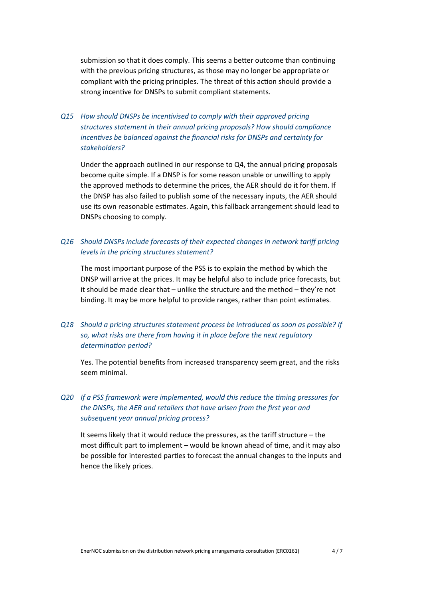submission so that it does comply. This seems a better outcome than continuing with the previous pricing structures, as those may no longer be appropriate or compliant with the pricing principles. The threat of this action should provide a strong incentive for DNSPs to submit compliant statements.

# *Q15 How should DNSPs be incenvised to comply with their approved pricing structures statement in their annual pricing proposals? How should compliance incentives be balanced against the financial risks for DNSPs and certainty for stakeholders?*

Under the approach outlined in our response to Q4, the annual pricing proposals become quite simple. If a DNSP is for some reason unable or unwilling to apply the approved methods to determine the prices, the AER should do it for them. If the DNSP has also failed to publish some of the necessary inputs, the AER should use its own reasonable estimates. Again, this fallback arrangement should lead to DNSPs choosing to comply.

### **Q16** Should DNSPs include forecasts of their expected changes in network tariff pricing *levels in the pricing structures statement?*

The most important purpose of the PSS is to explain the method by which the DNSP will arrive at the prices. It may be helpful also to include price forecasts, but it should be made clear that – unlike the structure and the method – they're not binding. It may be more helpful to provide ranges, rather than point estimates.

# *Q18 Should a pricing structures statement process be introduced as soon as possible? If so, what risks are there from having it in place before the next regulatory*  determination period?

Yes. The potential benefits from increased transparency seem great, and the risks seem minimal.

# *Q20* If a PSS framework were implemented, would this reduce the timing pressures for the DNSPs, the AER and retailers that have arisen from the first year and *subsequent year annual pricing process?*

It seems likely that it would reduce the pressures, as the tariff structure  $-$  the most difficult part to implement – would be known ahead of time, and it may also be possible for interested parties to forecast the annual changes to the inputs and hence the likely prices.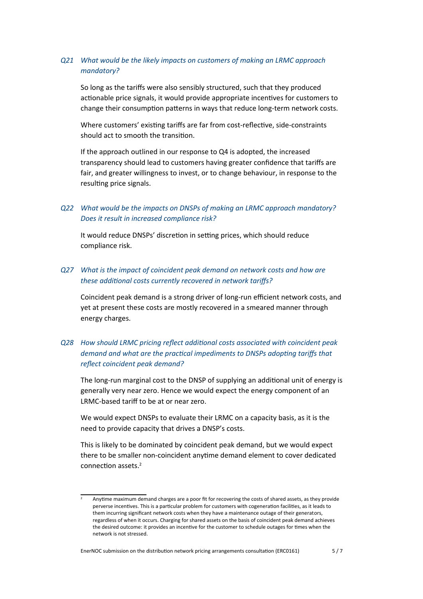# *Q21 What would be the likely impacts on customers of making an LRMC approach mandatory?*

So long as the tariffs were also sensibly structured, such that they produced actionable price signals, it would provide appropriate incentives for customers to change their consumption patterns in ways that reduce long-term network costs.

Where customers' existing tariffs are far from cost-reflective, side-constraints should act to smooth the transition.

If the approach outlined in our response to Q4 is adopted, the increased transparency should lead to customers having greater confidence that tariffs are fair, and greater willingness to invest, or to change behaviour, in response to the resulting price signals.

## *Q22 What would be the impacts on DNSPs of making an LRMC approach mandatory? Does it result in increased compliance risk?*

It would reduce DNSPs' discretion in setting prices, which should reduce compliance risk.

## *Q27 What is the impact of coincident peak demand on network costs and how are*  these additional costs currently recovered in network tariffs?

Coincident peak demand is a strong driver of long-run efficient network costs, and yet at present these costs are mostly recovered in a smeared manner through energy charges.

# **Q28** How should LRMC pricing reflect additional costs associated with coincident peak *demand and what are the practical impediments to DNSPs adopting tariffs that* reflect coincident peak demand?

The long-run marginal cost to the DNSP of supplying an additional unit of energy is generally very near zero. Hence we would expect the energy component of an LRMC-based tariff to be at or near zero.

We would expect DNSPs to evaluate their LRMC on a capacity basis, as it is the need to provide capacity that drives a DNSP's costs.

This is likely to be dominated by coincident peak demand, but we would expect there to be smaller non-coincident anytime demand element to cover dedicated  $connection$  assets. $<sup>2</sup>$ </sup>

EnerNOC submission on the distribution network pricing arrangements consultation (ERC0161) 5/7

<span id="page-4-0"></span>Anytime maximum demand charges are a poor fit for recovering the costs of shared assets, as they provide perverse incentives. This is a particular problem for customers with cogeneration facilities, as it leads to them incurring significant network costs when they have a maintenance outage of their generators, regardless of when it occurs. Charging for shared assets on the basis of coincident peak demand achieves the desired outcome: it provides an incentive for the customer to schedule outages for times when the network is not stressed.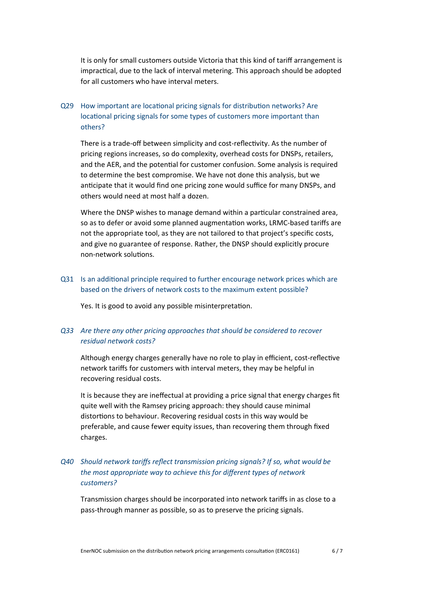It is only for small customers outside Victoria that this kind of tariff arrangement is impractical, due to the lack of interval metering. This approach should be adopted for all customers who have interval meters.

# Q29 How important are locational pricing signals for distribution networks? Are locational pricing signals for some types of customers more important than others?

There is a trade-off between simplicity and cost-reflectivity. As the number of pricing regions increases, so do complexity, overhead costs for DNSPs, retailers, and the AER, and the potential for customer confusion. Some analysis is required to determine the best compromise. We have not done this analysis, but we anticipate that it would find one pricing zone would suffice for many DNSPs, and others would need at most half a dozen.

Where the DNSP wishes to manage demand within a particular constrained area, so as to defer or avoid some planned augmentation works, LRMC-based tariffs are not the appropriate tool, as they are not tailored to that project's specific costs, and give no guarantee of response. Rather, the DNSP should explicitly procure non-network solutions.

### Q31 Is an additional principle required to further encourage network prices which are based on the drivers of network costs to the maximum extent possible?

Yes. It is good to avoid any possible misinterpretation.

## *Q33 Are there any other pricing approaches that should be considered to recover residual network costs?*

Although energy charges generally have no role to play in efficient, cost-reflective network tariffs for customers with interval meters, they may be helpful in recovering residual costs.

It is because they are ineffectual at providing a price signal that energy charges fit quite well with the Ramsey pricing approach: they should cause minimal distortions to behaviour. Recovering residual costs in this way would be preferable, and cause fewer equity issues, than recovering them through fixed charges.

# *Q40* Should network tariffs reflect transmission pricing signals? If so, what would be the most appropriate way to achieve this for different types of network *customers?*

Transmission charges should be incorporated into network tariffs in as close to a pass-through manner as possible, so as to preserve the pricing signals.